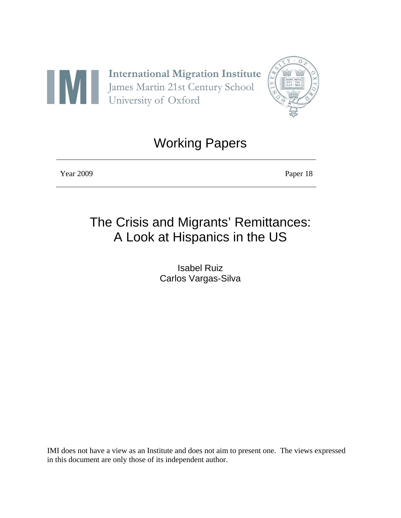



## Working Papers

Year 2009 Paper 18

# The Crisis and Migrants' Remittances: A Look at Hispanics in the US

Isabel Ruiz Carlos Vargas-Silva

IMI does not have a view as an Institute and does not aim to present one. The views expressed in this document are only those of its independent author.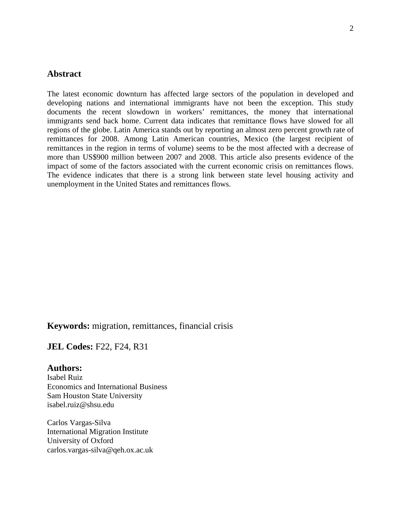## **Abstract**

The latest economic downturn has affected large sectors of the population in developed and developing nations and international immigrants have not been the exception. This study documents the recent slowdown in workers' remittances, the money that international immigrants send back home. Current data indicates that remittance flows have slowed for all regions of the globe. Latin America stands out by reporting an almost zero percent growth rate of remittances for 2008. Among Latin American countries, Mexico (the largest recipient of remittances in the region in terms of volume) seems to be the most affected with a decrease of more than US\$900 million between 2007 and 2008. This article also presents evidence of the impact of some of the factors associated with the current economic crisis on remittances flows. The evidence indicates that there is a strong link between state level housing activity and unemployment in the United States and remittances flows.

## **Keywords:** migration, remittances, financial crisis

#### **JEL Codes: F22, F24, R31**

#### **Authors:**

Isabel Ruiz Economics and International Business Sam Houston State University isabel.ruiz@shsu.edu

Carlos Vargas-Silva International Migration Institute University of Oxford carlos.vargas-silva@qeh.ox.ac.uk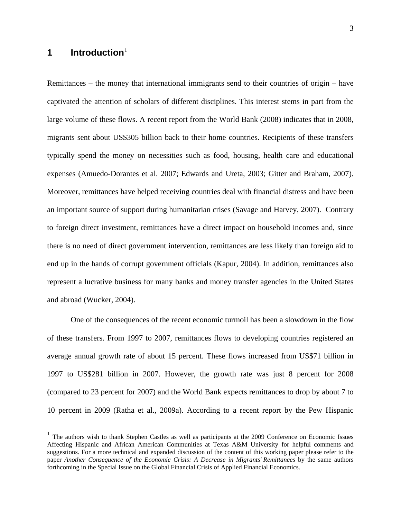## **1 Introduction**[1](#page-2-0)

 $\overline{a}$ 

Remittances – the money that international immigrants send to their countries of origin – have captivated the attention of scholars of different disciplines. This interest stems in part from the large volume of these flows. A recent report from the World Bank (2008) indicates that in 2008, migrants sent about US\$305 billion back to their home countries. Recipients of these transfers typically spend the money on necessities such as food, housing, health care and educational expenses (Amuedo-Dorantes et al. 2007; Edwards and Ureta, 2003; Gitter and Braham, 2007). Moreover, remittances have helped receiving countries deal with financial distress and have been an important source of support during humanitarian crises (Savage and Harvey, 2007). Contrary to foreign direct investment, remittances have a direct impact on household incomes and, since there is no need of direct government intervention, remittances are less likely than foreign aid to end up in the hands of corrupt government officials (Kapur, 2004). In addition, remittances also represent a lucrative business for many banks and money transfer agencies in the United States and abroad (Wucker, 2004).

 One of the consequences of the recent economic turmoil has been a slowdown in the flow of these transfers. From 1997 to 2007, remittances flows to developing countries registered an average annual growth rate of about 15 percent. These flows increased from US\$71 billion in 1997 to US\$281 billion in 2007. However, the growth rate was just 8 percent for 2008 (compared to 23 percent for 2007) and the World Bank expects remittances to drop by about 7 to 10 percent in 2009 (Ratha et al., 2009a). According to a recent report by the Pew Hispanic

<span id="page-2-0"></span><sup>&</sup>lt;sup>1</sup> The authors wish to thank Stephen Castles as well as participants at the 2009 Conference on Economic Issues Affecting Hispanic and African American Communities at Texas A&M University for helpful comments and suggestions. For a more technical and expanded discussion of the content of this working paper please refer to the paper *Another Consequence of the Economic Crisis: A Decrease in Migrants' Remittances* by the same authors forthcoming in the Special Issue on the Global Financial Crisis of Applied Financial Economics.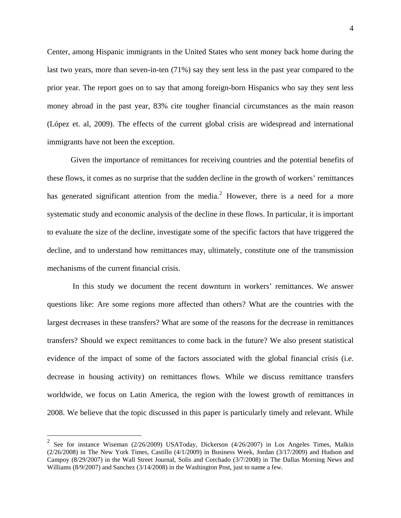Center, among Hispanic immigrants in the United States who sent money back home during the last two years, more than seven-in-ten (71%) say they sent less in the past year compared to the prior year. The report goes on to say that among foreign-born Hispanics who say they sent less money abroad in the past year, 83% cite tougher financial circumstances as the main reason (López et. al, 2009). The effects of the current global crisis are widespread and international immigrants have not been the exception.

 Given the importance of remittances for receiving countries and the potential benefits of these flows, it comes as no surprise that the sudden decline in the growth of workers' remittances has generated significant attention from the media.<sup>[2](#page-3-0)</sup> However, there is a need for a more systematic study and economic analysis of the decline in these flows. In particular, it is important to evaluate the size of the decline, investigate some of the specific factors that have triggered the decline, and to understand how remittances may, ultimately, constitute one of the transmission mechanisms of the current financial crisis.

 In this study we document the recent downturn in workers' remittances. We answer questions like: Are some regions more affected than others? What are the countries with the largest decreases in these transfers? What are some of the reasons for the decrease in remittances transfers? Should we expect remittances to come back in the future? We also present statistical evidence of the impact of some of the factors associated with the global financial crisis (i.e. decrease in housing activity) on remittances flows. While we discuss remittance transfers worldwide, we focus on Latin America, the region with the lowest growth of remittances in 2008. We believe that the topic discussed in this paper is particularly timely and relevant. While

 $\overline{a}$ 

<span id="page-3-0"></span><sup>&</sup>lt;sup>2</sup> See for instance Wiseman (2/26/2009) USAToday, Dickerson (4/26/2007) in Los Angeles Times, Malkin (2/26/2008) in The New York Times, Castillo (4/1/2009) in Business Week, Jordan (3/17/2009) and Hudson and Campoy (8/29/2007) in the Wall Street Journal, Solis and Corchado (3/7/2008) in The Dallas Morning News and Williams (8/9/2007) and Sanchez (3/14/2008) in the Washington Post, just to name a few.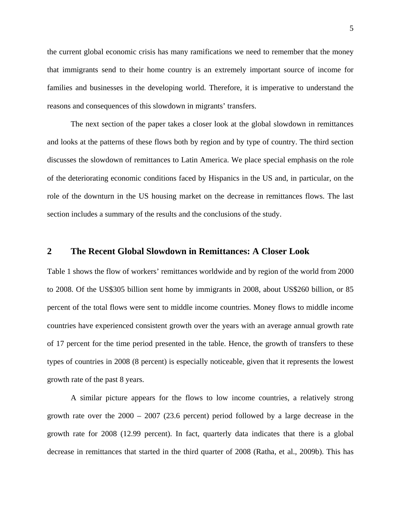the current global economic crisis has many ramifications we need to remember that the money that immigrants send to their home country is an extremely important source of income for families and businesses in the developing world. Therefore, it is imperative to understand the reasons and consequences of this slowdown in migrants' transfers.

The next section of the paper takes a closer look at the global slowdown in remittances and looks at the patterns of these flows both by region and by type of country. The third section discusses the slowdown of remittances to Latin America. We place special emphasis on the role of the deteriorating economic conditions faced by Hispanics in the US and, in particular, on the role of the downturn in the US housing market on the decrease in remittances flows. The last section includes a summary of the results and the conclusions of the study.

#### **2 The Recent Global Slowdown in Remittances: A Closer Look**

Table 1 shows the flow of workers' remittances worldwide and by region of the world from 2000 to 2008. Of the US\$305 billion sent home by immigrants in 2008, about US\$260 billion, or 85 percent of the total flows were sent to middle income countries. Money flows to middle income countries have experienced consistent growth over the years with an average annual growth rate of 17 percent for the time period presented in the table. Hence, the growth of transfers to these types of countries in 2008 (8 percent) is especially noticeable, given that it represents the lowest growth rate of the past 8 years.

 A similar picture appears for the flows to low income countries, a relatively strong growth rate over the  $2000 - 2007$  (23.6 percent) period followed by a large decrease in the growth rate for 2008 (12.99 percent). In fact, quarterly data indicates that there is a global decrease in remittances that started in the third quarter of 2008 (Ratha, et al., 2009b). This has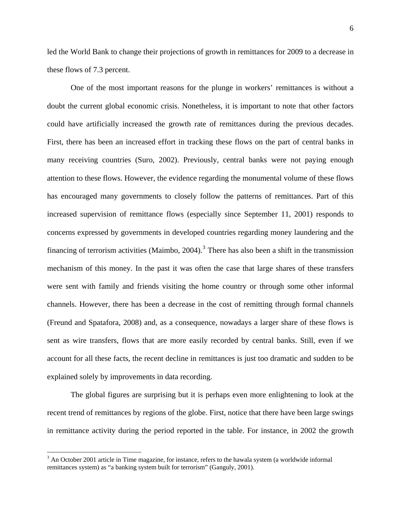led the World Bank to change their projections of growth in remittances for 2009 to a decrease in these flows of 7.3 percent.

 One of the most important reasons for the plunge in workers' remittances is without a doubt the current global economic crisis. Nonetheless, it is important to note that other factors could have artificially increased the growth rate of remittances during the previous decades. First, there has been an increased effort in tracking these flows on the part of central banks in many receiving countries (Suro, 2002). Previously, central banks were not paying enough attention to these flows. However, the evidence regarding the monumental volume of these flows has encouraged many governments to closely follow the patterns of remittances. Part of this increased supervision of remittance flows (especially since September 11, 2001) responds to concerns expressed by governments in developed countries regarding money laundering and the financing of terrorism activities (Maimbo, 2004).<sup>[3](#page-5-0)</sup> There has also been a shift in the transmission mechanism of this money. In the past it was often the case that large shares of these transfers were sent with family and friends visiting the home country or through some other informal channels. However, there has been a decrease in the cost of remitting through formal channels (Freund and Spatafora, 2008) and, as a consequence, nowadays a larger share of these flows is sent as wire transfers, flows that are more easily recorded by central banks. Still, even if we account for all these facts, the recent decline in remittances is just too dramatic and sudden to be explained solely by improvements in data recording.

 The global figures are surprising but it is perhaps even more enlightening to look at the recent trend of remittances by regions of the globe. First, notice that there have been large swings in remittance activity during the period reported in the table. For instance, in 2002 the growth

1

<span id="page-5-0"></span> $3$  An October 2001 article in Time magazine, for instance, refers to the hawala system (a worldwide informal remittances system) as "a banking system built for terrorism" (Ganguly, 2001).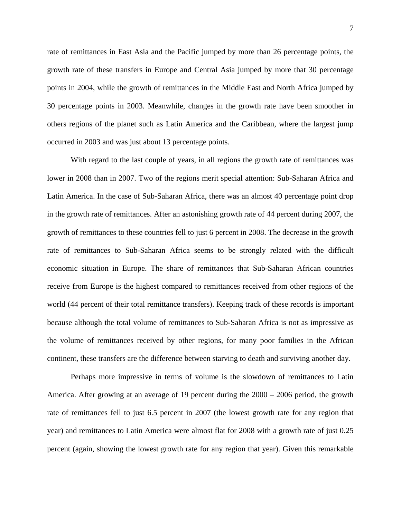rate of remittances in East Asia and the Pacific jumped by more than 26 percentage points, the growth rate of these transfers in Europe and Central Asia jumped by more that 30 percentage points in 2004, while the growth of remittances in the Middle East and North Africa jumped by 30 percentage points in 2003. Meanwhile, changes in the growth rate have been smoother in others regions of the planet such as Latin America and the Caribbean, where the largest jump occurred in 2003 and was just about 13 percentage points.

 With regard to the last couple of years, in all regions the growth rate of remittances was lower in 2008 than in 2007. Two of the regions merit special attention: Sub-Saharan Africa and Latin America. In the case of Sub-Saharan Africa, there was an almost 40 percentage point drop in the growth rate of remittances. After an astonishing growth rate of 44 percent during 2007, the growth of remittances to these countries fell to just 6 percent in 2008. The decrease in the growth rate of remittances to Sub-Saharan Africa seems to be strongly related with the difficult economic situation in Europe. The share of remittances that Sub-Saharan African countries receive from Europe is the highest compared to remittances received from other regions of the world (44 percent of their total remittance transfers). Keeping track of these records is important because although the total volume of remittances to Sub-Saharan Africa is not as impressive as the volume of remittances received by other regions, for many poor families in the African continent, these transfers are the difference between starving to death and surviving another day.

Perhaps more impressive in terms of volume is the slowdown of remittances to Latin America. After growing at an average of 19 percent during the 2000 – 2006 period, the growth rate of remittances fell to just 6.5 percent in 2007 (the lowest growth rate for any region that year) and remittances to Latin America were almost flat for 2008 with a growth rate of just 0.25 percent (again, showing the lowest growth rate for any region that year). Given this remarkable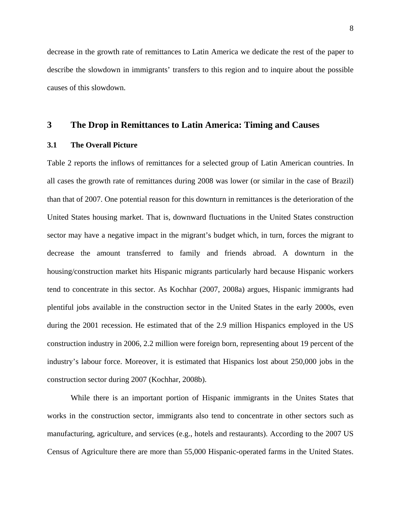decrease in the growth rate of remittances to Latin America we dedicate the rest of the paper to describe the slowdown in immigrants' transfers to this region and to inquire about the possible causes of this slowdown.

### **3 The Drop in Remittances to Latin America: Timing and Causes**

#### **3.1 The Overall Picture**

Table 2 reports the inflows of remittances for a selected group of Latin American countries. In all cases the growth rate of remittances during 2008 was lower (or similar in the case of Brazil) than that of 2007. One potential reason for this downturn in remittances is the deterioration of the United States housing market. That is, downward fluctuations in the United States construction sector may have a negative impact in the migrant's budget which, in turn, forces the migrant to decrease the amount transferred to family and friends abroad. A downturn in the housing/construction market hits Hispanic migrants particularly hard because Hispanic workers tend to concentrate in this sector. As Kochhar (2007, 2008a) argues, Hispanic immigrants had plentiful jobs available in the construction sector in the United States in the early 2000s, even during the 2001 recession. He estimated that of the 2.9 million Hispanics employed in the US construction industry in 2006, 2.2 million were foreign born, representing about 19 percent of the industry's labour force. Moreover, it is estimated that Hispanics lost about 250,000 jobs in the construction sector during 2007 (Kochhar, 2008b).

 While there is an important portion of Hispanic immigrants in the Unites States that works in the construction sector, immigrants also tend to concentrate in other sectors such as manufacturing, agriculture, and services (e.g., hotels and restaurants). According to the 2007 US Census of Agriculture there are more than 55,000 Hispanic-operated farms in the United States.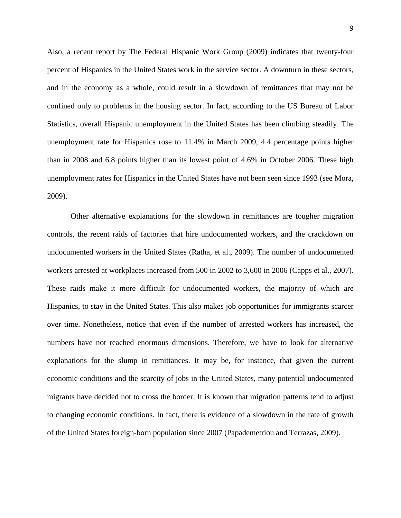Also, a recent report by The Federal Hispanic Work Group (2009) indicates that twenty-four percent of Hispanics in the United States work in the service sector. A downturn in these sectors, and in the economy as a whole, could result in a slowdown of remittances that may not be confined only to problems in the housing sector. In fact, according to the US Bureau of Labor Statistics, overall Hispanic unemployment in the United States has been climbing steadily. The unemployment rate for Hispanics rose to 11.4% in March 2009, 4.4 percentage points higher than in 2008 and 6.8 points higher than its lowest point of 4.6% in October 2006. These high unemployment rates for Hispanics in the United States have not been seen since 1993 (see Mora, 2009).

 Other alternative explanations for the slowdown in remittances are tougher migration controls, the recent raids of factories that hire undocumented workers, and the crackdown on undocumented workers in the United States (Ratha, et al., 2009). The number of undocumented workers arrested at workplaces increased from 500 in 2002 to 3,600 in 2006 (Capps et al., 2007). These raids make it more difficult for undocumented workers, the majority of which are Hispanics, to stay in the United States. This also makes job opportunities for immigrants scarcer over time. Nonetheless, notice that even if the number of arrested workers has increased, the numbers have not reached enormous dimensions. Therefore, we have to look for alternative explanations for the slump in remittances. It may be, for instance, that given the current economic conditions and the scarcity of jobs in the United States, many potential undocumented migrants have decided not to cross the border. It is known that migration patterns tend to adjust to changing economic conditions. In fact, there is evidence of a slowdown in the rate of growth of the United States foreign-born population since 2007 (Papademetriou and Terrazas, 2009).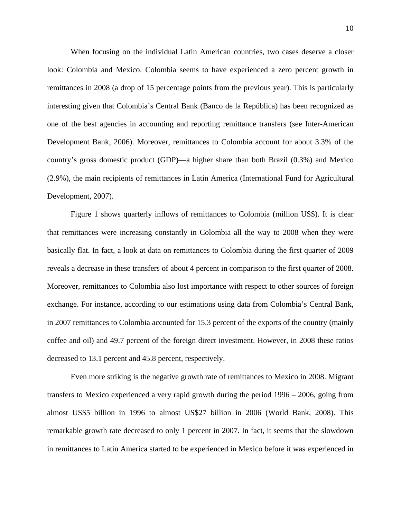When focusing on the individual Latin American countries, two cases deserve a closer look: Colombia and Mexico. Colombia seems to have experienced a zero percent growth in remittances in 2008 (a drop of 15 percentage points from the previous year). This is particularly interesting given that Colombia's Central Bank (Banco de la República) has been recognized as one of the best agencies in accounting and reporting remittance transfers (see Inter-American Development Bank, 2006). Moreover, remittances to Colombia account for about 3.3% of the country's gross domestic product (GDP)—a higher share than both Brazil (0.3%) and Mexico (2.9%), the main recipients of remittances in Latin America (International Fund for Agricultural Development, 2007).

Figure 1 shows quarterly inflows of remittances to Colombia (million US\$). It is clear that remittances were increasing constantly in Colombia all the way to 2008 when they were basically flat. In fact, a look at data on remittances to Colombia during the first quarter of 2009 reveals a decrease in these transfers of about 4 percent in comparison to the first quarter of 2008. Moreover, remittances to Colombia also lost importance with respect to other sources of foreign exchange. For instance, according to our estimations using data from Colombia's Central Bank, in 2007 remittances to Colombia accounted for 15.3 percent of the exports of the country (mainly coffee and oil) and 49.7 percent of the foreign direct investment. However, in 2008 these ratios decreased to 13.1 percent and 45.8 percent, respectively.

Even more striking is the negative growth rate of remittances to Mexico in 2008. Migrant transfers to Mexico experienced a very rapid growth during the period 1996 – 2006, going from almost US\$5 billion in 1996 to almost US\$27 billion in 2006 (World Bank, 2008). This remarkable growth rate decreased to only 1 percent in 2007. In fact, it seems that the slowdown in remittances to Latin America started to be experienced in Mexico before it was experienced in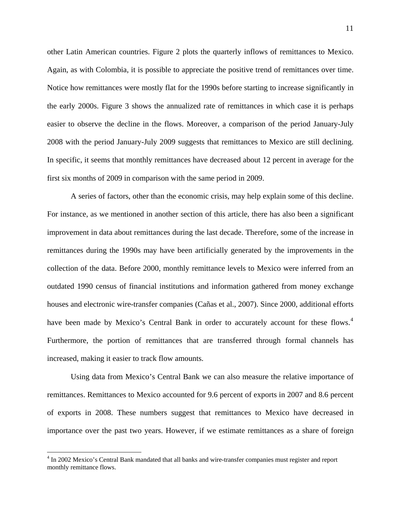other Latin American countries. Figure 2 plots the quarterly inflows of remittances to Mexico. Again, as with Colombia, it is possible to appreciate the positive trend of remittances over time. Notice how remittances were mostly flat for the 1990s before starting to increase significantly in the early 2000s. Figure 3 shows the annualized rate of remittances in which case it is perhaps easier to observe the decline in the flows. Moreover, a comparison of the period January-July 2008 with the period January-July 2009 suggests that remittances to Mexico are still declining. In specific, it seems that monthly remittances have decreased about 12 percent in average for the first six months of 2009 in comparison with the same period in 2009.

A series of factors, other than the economic crisis, may help explain some of this decline. For instance, as we mentioned in another section of this article, there has also been a significant improvement in data about remittances during the last decade. Therefore, some of the increase in remittances during the 1990s may have been artificially generated by the improvements in the collection of the data. Before 2000, monthly remittance levels to Mexico were inferred from an outdated 1990 census of financial institutions and information gathered from money exchange houses and electronic wire-transfer companies (Cañas et al., 2007). Since 2000, additional efforts have been made by Mexico's Central Bank in order to accurately account for these flows.<sup>[4](#page-10-0)</sup> Furthermore, the portion of remittances that are transferred through formal channels has increased, making it easier to track flow amounts.

Using data from Mexico's Central Bank we can also measure the relative importance of remittances. Remittances to Mexico accounted for 9.6 percent of exports in 2007 and 8.6 percent of exports in 2008. These numbers suggest that remittances to Mexico have decreased in importance over the past two years. However, if we estimate remittances as a share of foreign

1

<span id="page-10-0"></span><sup>&</sup>lt;sup>4</sup> In 2002 Mexico's Central Bank mandated that all banks and wire-transfer companies must register and report monthly remittance flows.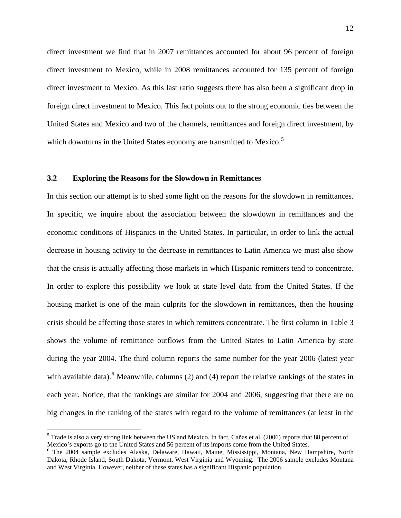direct investment we find that in 2007 remittances accounted for about 96 percent of foreign direct investment to Mexico, while in 2008 remittances accounted for 135 percent of foreign direct investment to Mexico. As this last ratio suggests there has also been a significant drop in foreign direct investment to Mexico. This fact points out to the strong economic ties between the United States and Mexico and two of the channels, remittances and foreign direct investment, by which downturns in the United States economy are transmitted to Mexico.<sup>[5](#page-11-0)</sup>

#### **3.2 Exploring the Reasons for the Slowdown in Remittances**

In this section our attempt is to shed some light on the reasons for the slowdown in remittances. In specific, we inquire about the association between the slowdown in remittances and the economic conditions of Hispanics in the United States. In particular, in order to link the actual decrease in housing activity to the decrease in remittances to Latin America we must also show that the crisis is actually affecting those markets in which Hispanic remitters tend to concentrate. In order to explore this possibility we look at state level data from the United States. If the housing market is one of the main culprits for the slowdown in remittances, then the housing crisis should be affecting those states in which remitters concentrate. The first column in Table 3 shows the volume of remittance outflows from the United States to Latin America by state during the year 2004. The third column reports the same number for the year 2006 (latest year with available data). <sup>[6](#page-11-1)</sup> Meanwhile, columns (2) and (4) report the relative rankings of the states in each year. Notice, that the rankings are similar for 2004 and 2006, suggesting that there are no big changes in the ranking of the states with regard to the volume of remittances (at least in the

1

<span id="page-11-0"></span><sup>&</sup>lt;sup>5</sup> Trade is also a very strong link between the US and Mexico. In fact, Cañas et al. (2006) reports that 88 percent of Mexico's exports go to the United States and 56 percent of its imports come from the United States.

<span id="page-11-1"></span><sup>6</sup> The 2004 sample excludes Alaska, Delaware, Hawaii, Maine, Mississippi, Montana, New Hampshire, North Dakota, Rhode Island, South Dakota, Vermont, West Virginia and Wyoming. The 2006 sample excludes Montana and West Virginia. However, neither of these states has a significant Hispanic population.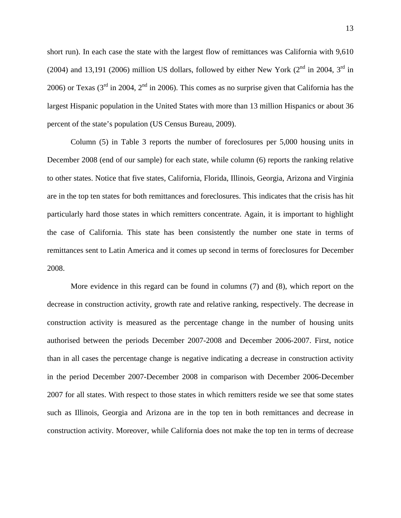short run). In each case the state with the largest flow of remittances was California with 9,610 (2004) and 13,191 (2006) million US dollars, followed by either New York ( $2<sup>nd</sup>$  in 2004,  $3<sup>rd</sup>$  in 2006) or Texas ( $3<sup>rd</sup>$  in 2004,  $2<sup>nd</sup>$  in 2006). This comes as no surprise given that California has the largest Hispanic population in the United States with more than 13 million Hispanics or about 36 percent of the state's population (US Census Bureau, 2009).

 Column (5) in Table 3 reports the number of foreclosures per 5,000 housing units in December 2008 (end of our sample) for each state, while column (6) reports the ranking relative to other states. Notice that five states, California, Florida, Illinois, Georgia, Arizona and Virginia are in the top ten states for both remittances and foreclosures. This indicates that the crisis has hit particularly hard those states in which remitters concentrate. Again, it is important to highlight the case of California. This state has been consistently the number one state in terms of remittances sent to Latin America and it comes up second in terms of foreclosures for December 2008.

More evidence in this regard can be found in columns (7) and (8), which report on the decrease in construction activity, growth rate and relative ranking, respectively. The decrease in construction activity is measured as the percentage change in the number of housing units authorised between the periods December 2007-2008 and December 2006-2007. First, notice than in all cases the percentage change is negative indicating a decrease in construction activity in the period December 2007-December 2008 in comparison with December 2006-December 2007 for all states. With respect to those states in which remitters reside we see that some states such as Illinois, Georgia and Arizona are in the top ten in both remittances and decrease in construction activity. Moreover, while California does not make the top ten in terms of decrease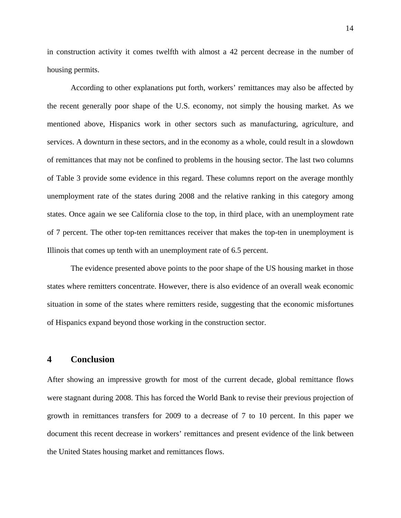in construction activity it comes twelfth with almost a 42 percent decrease in the number of housing permits.

According to other explanations put forth, workers' remittances may also be affected by the recent generally poor shape of the U.S. economy, not simply the housing market. As we mentioned above, Hispanics work in other sectors such as manufacturing, agriculture, and services. A downturn in these sectors, and in the economy as a whole, could result in a slowdown of remittances that may not be confined to problems in the housing sector. The last two columns of Table 3 provide some evidence in this regard. These columns report on the average monthly unemployment rate of the states during 2008 and the relative ranking in this category among states. Once again we see California close to the top, in third place, with an unemployment rate of 7 percent. The other top-ten remittances receiver that makes the top-ten in unemployment is Illinois that comes up tenth with an unemployment rate of 6.5 percent.

The evidence presented above points to the poor shape of the US housing market in those states where remitters concentrate. However, there is also evidence of an overall weak economic situation in some of the states where remitters reside, suggesting that the economic misfortunes of Hispanics expand beyond those working in the construction sector.

#### **4 Conclusion**

After showing an impressive growth for most of the current decade, global remittance flows were stagnant during 2008. This has forced the World Bank to revise their previous projection of growth in remittances transfers for 2009 to a decrease of 7 to 10 percent. In this paper we document this recent decrease in workers' remittances and present evidence of the link between the United States housing market and remittances flows.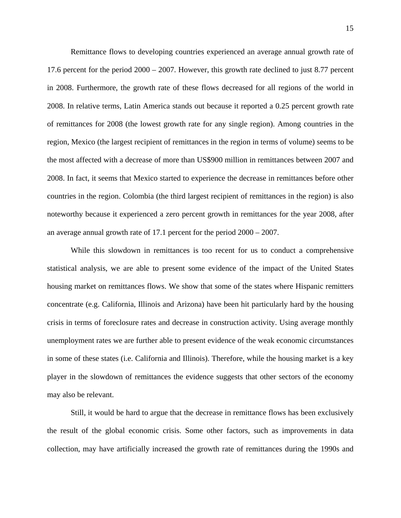Remittance flows to developing countries experienced an average annual growth rate of 17.6 percent for the period 2000 – 2007. However, this growth rate declined to just 8.77 percent in 2008. Furthermore, the growth rate of these flows decreased for all regions of the world in 2008. In relative terms, Latin America stands out because it reported a 0.25 percent growth rate of remittances for 2008 (the lowest growth rate for any single region). Among countries in the region, Mexico (the largest recipient of remittances in the region in terms of volume) seems to be the most affected with a decrease of more than US\$900 million in remittances between 2007 and 2008. In fact, it seems that Mexico started to experience the decrease in remittances before other countries in the region. Colombia (the third largest recipient of remittances in the region) is also noteworthy because it experienced a zero percent growth in remittances for the year 2008, after an average annual growth rate of 17.1 percent for the period 2000 – 2007.

While this slowdown in remittances is too recent for us to conduct a comprehensive statistical analysis, we are able to present some evidence of the impact of the United States housing market on remittances flows. We show that some of the states where Hispanic remitters concentrate (e.g. California, Illinois and Arizona) have been hit particularly hard by the housing crisis in terms of foreclosure rates and decrease in construction activity. Using average monthly unemployment rates we are further able to present evidence of the weak economic circumstances in some of these states (i.e. California and Illinois). Therefore, while the housing market is a key player in the slowdown of remittances the evidence suggests that other sectors of the economy may also be relevant.

Still, it would be hard to argue that the decrease in remittance flows has been exclusively the result of the global economic crisis. Some other factors, such as improvements in data collection, may have artificially increased the growth rate of remittances during the 1990s and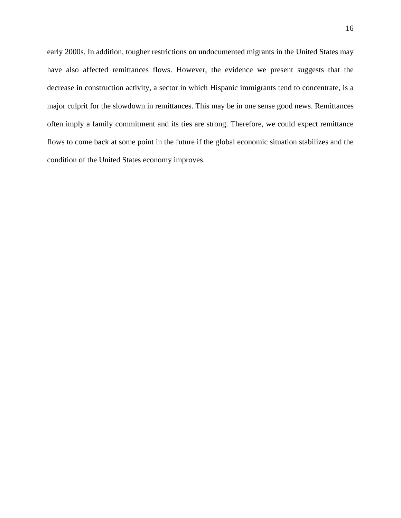early 2000s. In addition, tougher restrictions on undocumented migrants in the United States may have also affected remittances flows. However, the evidence we present suggests that the decrease in construction activity, a sector in which Hispanic immigrants tend to concentrate, is a major culprit for the slowdown in remittances. This may be in one sense good news. Remittances often imply a family commitment and its ties are strong. Therefore, we could expect remittance flows to come back at some point in the future if the global economic situation stabilizes and the condition of the United States economy improves.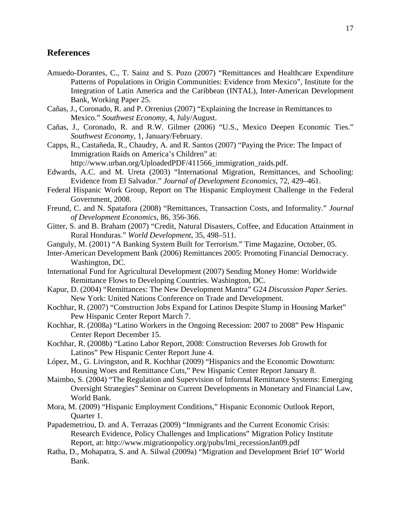#### **References**

- Amuedo-Dorantes, C., T. Sainz and S. Pozo (2007) "Remittances and Healthcare Expenditure Patterns of Populations in Origin Communities: Evidence from Mexico", Institute for the Integration of Latin America and the Caribbean (INTAL), Inter-American Development Bank, Working Paper 25.
- Cañas, J., Coronado, R. and P. Orrenius (2007) "Explaining the Increase in Remittances to Mexico." *Southwest Economy*, 4, July/August.
- Cañas, J., Coronado, R. and R.W. Gilmer (2006) "U.S., Mexico Deepen Economic Ties." *Southwest Economy*, 1, January/February.
- Capps, R., Castañeda, R., Chaudry, A. and R. Santos (2007) "Paying the Price: The Impact of Immigration Raids on America's Children" at:
	- http://www.urban.org/UploadedPDF/411566\_immigration\_raids.pdf.
- Edwards, A.C. and M. Ureta (2003) "International Migration, Remittances, and Schooling: Evidence from El Salvador." *Journal of Development Economics*, 72, 429–461.
- Federal Hispanic Work Group, Report on The Hispanic Employment Challenge in the Federal Government, 2008.
- Freund, C. and N. Spatafora (2008) "Remittances, Transaction Costs, and Informality." *Journal of Development Economics*, 86, 356-366.
- Gitter, S. and B. Braham (2007) "Credit, Natural Disasters, Coffee, and Education Attainment in Rural Honduras." *World Development*, 35, 498–511.
- Ganguly, M. (2001) "A Banking System Built for Terrorism." Time Magazine, October, 05.
- Inter-American Development Bank (2006) Remittances 2005: Promoting Financial Democracy. Washington, DC.
- International Fund for Agricultural Development (2007) Sending Money Home: Worldwide Remittance Flows to Developing Countries. Washington, DC.
- Kapur, D. (2004) "Remittances: The New Development Mantra" G24 *Discussion Paper Series*. New York: United Nations Conference on Trade and Development.
- Kochhar, R. (2007) "Construction Jobs Expand for Latinos Despite Slump in Housing Market" Pew Hispanic Center Report March 7.
- Kochhar, R. (2008a) "Latino Workers in the Ongoing Recession: 2007 to 2008" Pew Hispanic Center Report December 15.
- Kochhar, R. (2008b) "Latino Labor Report, 2008: Construction Reverses Job Growth for Latinos" Pew Hispanic Center Report June 4.
- López, M., G. Livingston, and R. Kochhar (2009) "Hispanics and the Economic Downturn: Housing Woes and Remittance Cuts," Pew Hispanic Center Report January 8.
- Maimbo, S. (2004) "The Regulation and Supervision of Informal Remittance Systems: Emerging Oversight Strategies" Seminar on Current Developments in Monetary and Financial Law, World Bank.
- Mora, M. (2009) "Hispanic Employment Conditions," Hispanic Economic Outlook Report, Quarter 1.
- Papademetriou, D. and A. Terrazas (2009) "Immigrants and the Current Economic Crisis: Research Evidence, Policy Challenges and Implications" Migration Policy Institute Report, at: http://www.migrationpolicy.org/pubs/lmi\_recessionJan09.pdf
- Ratha, D., Mohapatra, S. and A. Silwal (2009a) "Migration and Development Brief 10" World Bank.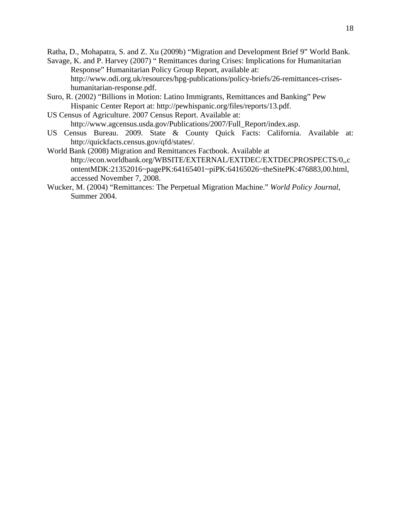Ratha, D., Mohapatra, S. and Z. Xu (2009b) "Migration and Development Brief 9" World Bank.

- Savage, K. and P. Harvey (2007) " Remittances during Crises: Implications for Humanitarian Response" Humanitarian Policy Group Report, available at: http://www.odi.org.uk/resources/hpg-publications/policy-briefs/26-remittances-criseshumanitarian-response.pdf.
- Suro, R. (2002) "Billions in Motion: Latino Immigrants, Remittances and Banking" Pew Hispanic Center Report at: http://pewhispanic.org/files/reports/13.pdf.
- US Census of Agriculture. 2007 Census Report. Available at: http://www.agcensus.usda.gov/Publications/2007/Full\_Report/index.asp.
- US Census Bureau. 2009. State & County Quick Facts: California. Available at: http://quickfacts.census.gov/qfd/states/.
- World Bank (2008) Migration and Remittances Factbook. Available at http://econ.worldbank.org/WBSITE/EXTERNAL/EXTDEC/EXTDECPROSPECTS/0,,c ontentMDK:21352016~pagePK:64165401~piPK:64165026~theSitePK:476883,00.html, accessed November 7, 2008.
- Wucker, M. (2004) "Remittances: The Perpetual Migration Machine." *World Policy Journal*, Summer 2004.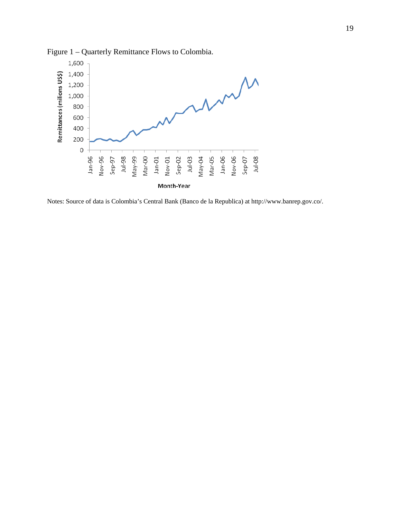

Figure 1 – Quarterly Remittance Flows to Colombia.

Notes: Source of data is Colombia's Central Bank (Banco de la Republica) at http://www.banrep.gov.co/.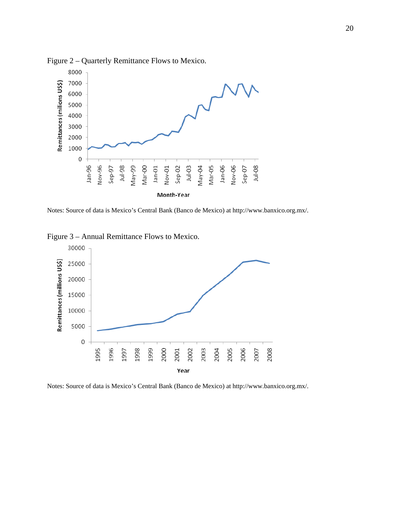

Figure 2 – Quarterly Remittance Flows to Mexico.

Notes: Source of data is Mexico's Central Bank (Banco de Mexico) at http://www.banxico.org.mx/.

Figure 3 – Annual Remittance Flows to Mexico.



Notes: Source of data is Mexico's Central Bank (Banco de Mexico) at http://www.banxico.org.mx/.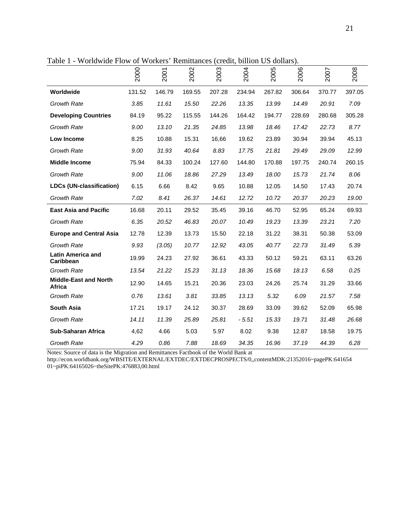|                                        | 2000   | 2001   | 2002   | 2003   | 2004   | 2005   | 2006   | 2007   | 2008   |
|----------------------------------------|--------|--------|--------|--------|--------|--------|--------|--------|--------|
| Worldwide                              | 131.52 | 146.79 | 169.55 | 207.28 | 234.94 | 267.82 | 306.64 | 370.77 | 397.05 |
| <b>Growth Rate</b>                     | 3.85   | 11.61  | 15.50  | 22.26  | 13.35  | 13.99  | 14.49  | 20.91  | 7.09   |
| <b>Developing Countries</b>            | 84.19  | 95.22  | 115.55 | 144.26 | 164.42 | 194.77 | 228.69 | 280.68 | 305.28 |
| <b>Growth Rate</b>                     | 9.00   | 13.10  | 21.35  | 24.85  | 13.98  | 18.46  | 17.42  | 22.73  | 8.77   |
| Low Income                             | 8.25   | 10.88  | 15.31  | 16,66  | 19.62  | 23.89  | 30.94  | 39.94  | 45.13  |
| <b>Growth Rate</b>                     | 9.00   | 31.93  | 40.64  | 8.83   | 17.75  | 21.81  | 29.49  | 29.09  | 12.99  |
| <b>Middle Income</b>                   | 75.94  | 84.33  | 100.24 | 127.60 | 144.80 | 170.88 | 197.75 | 240.74 | 260.15 |
| <b>Growth Rate</b>                     | 9.00   | 11.06  | 18.86  | 27.29  | 13.49  | 18.00  | 15.73  | 21.74  | 8.06   |
| <b>LDCs (UN-classification)</b>        | 6.15   | 6.66   | 8.42   | 9.65   | 10.88  | 12.05  | 14.50  | 17.43  | 20.74  |
| <b>Growth Rate</b>                     | 7.02   | 8.41   | 26.37  | 14.61  | 12.72  | 10.72  | 20.37  | 20.23  | 19.00  |
| <b>East Asia and Pacific</b>           | 16.68  | 20.11  | 29.52  | 35.45  | 39.16  | 46.70  | 52.95  | 65.24  | 69.93  |
| <b>Growth Rate</b>                     | 6.35   | 20.52  | 46.83  | 20.07  | 10.49  | 19.23  | 13.39  | 23.21  | 7.20   |
| <b>Europe and Central Asia</b>         | 12.78  | 12.39  | 13.73  | 15.50  | 22.18  | 31.22  | 38.31  | 50.38  | 53.09  |
| <b>Growth Rate</b>                     | 9.93   | (3.05) | 10.77  | 12.92  | 43.05  | 40.77  | 22.73  | 31.49  | 5.39   |
| <b>Latin America and</b><br>Caribbean  | 19.99  | 24.23  | 27.92  | 36.61  | 43.33  | 50.12  | 59.21  | 63.11  | 63.26  |
| <b>Growth Rate</b>                     | 13.54  | 21.22  | 15.23  | 31.13  | 18.36  | 15.68  | 18.13  | 6.58   | 0.25   |
| <b>Middle-East and North</b><br>Africa | 12.90  | 14.65  | 15.21  | 20.36  | 23.03  | 24.26  | 25.74  | 31.29  | 33.66  |
| <b>Growth Rate</b>                     | 0.76   | 13.61  | 3.81   | 33.85  | 13.13  | 5.32   | 6.09   | 21.57  | 7.58   |
| <b>South Asia</b>                      | 17.21  | 19.17  | 24.12  | 30.37  | 28.69  | 33.09  | 39.62  | 52.09  | 65.98  |
| <b>Growth Rate</b>                     | 14.11  | 11.39  | 25.89  | 25.81  | - 5.51 | 15.33  | 19.71  | 31.48  | 26.68  |
| <b>Sub-Saharan Africa</b>              | 4,62   | 4.66   | 5.03   | 5.97   | 8.02   | 9.38   | 12.87  | 18.58  | 19.75  |
| <b>Growth Rate</b>                     | 4.29   | 0.86   | 7.88   | 18.69  | 34.35  | 16.96  | 37.19  | 44.39  | 6.28   |

Table 1 - Worldwide Flow of Workers' Remittances (credit, billion US dollars).

Notes: Source of data is the Migration and Remittances Factbook of the World Bank at

http://econ.worldbank.org/WBSITE/EXTERNAL/EXTDEC/EXTDECPROSPECTS/0,,contentMDK:21352016~pagePK:641654 01~piPK:64165026~theSitePK:476883,00.html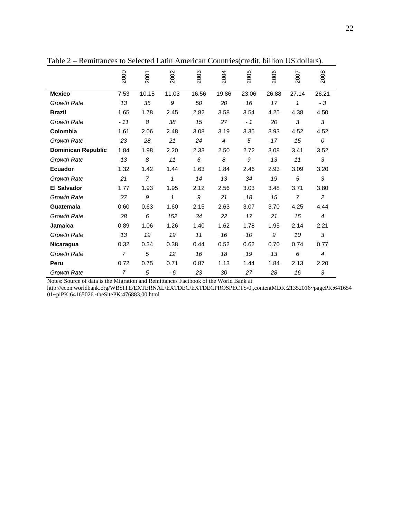|                           | 2000           | 2001           | 2002  | 2003  | 2004           | 2005  | 2006  | 2007           | 2008           |
|---------------------------|----------------|----------------|-------|-------|----------------|-------|-------|----------------|----------------|
| <b>Mexico</b>             | 7.53           | 10.15          | 11.03 | 16.56 | 19.86          | 23.06 | 26.88 | 27.14          | 26.21          |
| <b>Growth Rate</b>        | 13             | 35             | 9     | 50    | 20             | 16    | 17    | 1              | - 3            |
| <b>Brazil</b>             | 1.65           | 1.78           | 2.45  | 2.82  | 3.58           | 3.54  | 4.25  | 4.38           | 4.50           |
| <b>Growth Rate</b>        | $-11$          | 8              | 38    | 15    | 27             | $-1$  | 20    | 3              | 3              |
| Colombia                  | 1.61           | 2.06           | 2.48  | 3.08  | 3.19           | 3.35  | 3.93  | 4.52           | 4.52           |
| <b>Growth Rate</b>        | 23             | 28             | 21    | 24    | $\overline{4}$ | 5     | 17    | 15             | 0              |
| <b>Dominican Republic</b> | 1.84           | 1.98           | 2.20  | 2.33  | 2.50           | 2.72  | 3.08  | 3.41           | 3.52           |
| <b>Growth Rate</b>        | 13             | 8              | 11    | 6     | 8              | 9     | 13    | 11             | 3              |
| <b>Ecuador</b>            | 1.32           | 1.42           | 1.44  | 1.63  | 1.84           | 2.46  | 2.93  | 3.09           | 3.20           |
| <b>Growth Rate</b>        | 21             | $\overline{7}$ | 1     | 14    | 13             | 34    | 19    | 5              | 3              |
| <b>El Salvador</b>        | 1.77           | 1.93           | 1.95  | 2.12  | 2.56           | 3.03  | 3.48  | 3.71           | 3.80           |
| <b>Growth Rate</b>        | 27             | 9              | 1     | 9     | 21             | 18    | 15    | $\overline{7}$ | $\overline{c}$ |
| Guatemala                 | 0.60           | 0.63           | 1.60  | 2.15  | 2.63           | 3.07  | 3.70  | 4.25           | 4.44           |
| <b>Growth Rate</b>        | 28             | 6              | 152   | 34    | 22             | 17    | 21    | 15             | $\overline{4}$ |
| <b>Jamaica</b>            | 0.89           | 1.06           | 1.26  | 1.40  | 1.62           | 1.78  | 1.95  | 2.14           | 2.21           |
| <b>Growth Rate</b>        | 13             | 19             | 19    | 11    | 16             | 10    | 9     | 10             | 3              |
| <b>Nicaragua</b>          | 0.32           | 0.34           | 0.38  | 0.44  | 0.52           | 0.62  | 0.70  | 0.74           | 0.77           |
| <b>Growth Rate</b>        | $\overline{7}$ | 5              | 12    | 16    | 18             | 19    | 13    | 6              | $\overline{4}$ |
| Peru                      | 0.72           | 0.75           | 0.71  | 0.87  | 1.13           | 1.44  | 1.84  | 2.13           | 2.20           |
| <b>Growth Rate</b>        | $\overline{7}$ | 5              | - 6   | 23    | 30             | 27    | 28    | 16             | 3              |

Table 2 – Remittances to Selected Latin American Countries(credit, billion US dollars).

Notes: Source of data is the Migration and Remittances Factbook of the World Bank at

http://econ.worldbank.org/WBSITE/EXTERNAL/EXTDEC/EXTDECPROSPECTS/0,,contentMDK:21352016~pagePK:641654 01~piPK:64165026~theSitePK:476883,00.html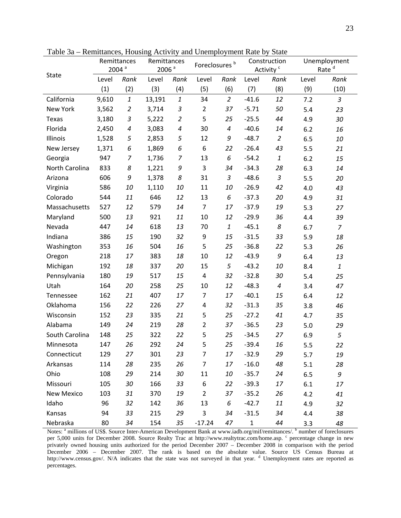|                | Remittances |                   | Remittances       |                | Foreclosures <sup>b</sup> |                | Construction |                                                       | Unemployment |                   |
|----------------|-------------|-------------------|-------------------|----------------|---------------------------|----------------|--------------|-------------------------------------------------------|--------------|-------------------|
| <b>State</b>   |             | 2004 <sup>a</sup> | 2006 <sup>a</sup> |                |                           |                |              | Activity <sup>c</sup>                                 |              | Rate <sup>d</sup> |
|                | Level       | Rank              | Level             | Rank           | Level                     | Rank           | Level        | Rank                                                  | Level        | Rank              |
|                | (1)         | (2)               | (3)               | (4)            | (5)                       | (6)            | (7)          | (8)                                                   | (9)          | (10)              |
| California     | 9,610       | $\mathbf{1}$      | 13,191            | $\mathbf{1}$   | 34                        | $\overline{2}$ | $-41.6$      | 12                                                    | 7.2          | $\mathfrak{Z}$    |
| New York       | 3,562       | $\overline{2}$    | 3,714             | 3              | $\overline{2}$            | 37             | $-5.71$      | 50                                                    | 5.4          | 23                |
| Texas          | 3,180       | 3                 | 5,222             | $\overline{2}$ | 5                         | 25             | $-25.5$      | 44                                                    | 4.9          | 30                |
| Florida        | 2,450       | $\pmb{4}$         | 3,083             | $\pmb{4}$      | 30                        | $\pmb{4}$      | $-40.6$      | 14                                                    | 6.2          | 16                |
| Illinois       | 1,528       | 5                 | 2,853             | 5              | 12                        | 9              | $-48.7$      | $\overline{2}$                                        | 6.5          | 10                |
| New Jersey     | 1,371       | 6                 | 1,869             | 6              | 6                         | 22             | $-26.4$      | 43                                                    | 5.5          | 21                |
| Georgia        | 947         | $\overline{7}$    | 1,736             | $\overline{7}$ | 13                        | 6              | $-54.2$      | $\mathbf{1}% _{T}=\mathbf{1}_{T}\times\mathbf{2}_{T}$ | 6.2          | 15                |
| North Carolina | 833         | 8                 | 1,221             | 9              | $\mathsf 3$               | 34             | $-34.3$      | 28                                                    | 6.3          | 14                |
| Arizona        | 606         | 9                 | 1,378             | 8              | 31                        | 3              | $-48.6$      | 3                                                     | 5.5          | 20                |
| Virginia       | 586         | 10                | 1,110             | 10             | 11                        | 10             | $-26.9$      | 42                                                    | 4.0          | 43                |
| Colorado       | 544         | 11                | 646               | 12             | 13                        | 6              | $-37.3$      | 20                                                    | 4.9          | 31                |
| Massachusetts  | 527         | 12                | 579               | 14             | $\overline{7}$            | 17             | $-37.9$      | 19                                                    | 5.3          | 27                |
| Maryland       | 500         | 13                | 921               | 11             | 10                        | 12             | $-29.9$      | 36                                                    | 4.4          | 39                |
| Nevada         | 447         | 14                | 618               | 13             | 70                        | 1              | $-45.1$      | 8                                                     | 6.7          | $\overline{7}$    |
| Indiana        | 386         | 15                | 190               | 32             | 9                         | 15             | $-31.5$      | 33                                                    | 5.9          | 18                |
| Washington     | 353         | 16                | 504               | 16             | 5                         | 25             | $-36.8$      | 22                                                    | 5.3          | 26                |
| Oregon         | 218         | 17                | 383               | 18             | 10                        | 12             | $-43.9$      | 9                                                     | 6.4          | 13                |
| Michigan       | 192         | 18                | 337               | 20             | 15                        | 5              | $-43.2$      | 10                                                    | 8.4          | $\mathbf{1}$      |
| Pennsylvania   | 180         | 19                | 517               | 15             | 4                         | 32             | $-32.8$      | 30                                                    | 5.4          | 25                |
| Utah           | 164         | 20                | 258               | 25             | 10                        | 12             | $-48.3$      | $\boldsymbol{4}$                                      | 3.4          | 47                |
| Tennessee      | 162         | 21                | 407               | 17             | $\overline{7}$            | 17             | $-40.1$      | 15                                                    | 6.4          | 12                |
| Oklahoma       | 156         | 22                | 226               | 27             | 4                         | 32             | $-31.3$      | 35                                                    | 3.8          | 46                |
| Wisconsin      | 152         | 23                | 335               | 21             | 5                         | 25             | $-27.2$      | 41                                                    | 4.7          | 35                |
| Alabama        | 149         | 24                | 219               | 28             | $\overline{2}$            | 37             | $-36.5$      | 23                                                    | 5.0          | 29                |
| South Carolina | 148         | 25                | 322               | 22             | 5                         | 25             | $-34.5$      | 27                                                    | 6.9          | 5                 |
| Minnesota      | 147         | 26                | 292               | 24             | 5                         | 25             | $-39.4$      | 16                                                    | 5.5          | 22                |
| Connecticut    | 129         | 27                | 301               | 23             | $\overline{7}$            | 17             | $-32.9$      | 29                                                    | 5.7          | 19                |
| Arkansas       | 114         | 28                | 235               | 26             | $\overline{7}$            | 17             | $-16.0$      | 48                                                    | 5.1          | 28                |
| Ohio           | 108         | 29                | 214               | 30             | 11                        | 10             | $-35.7$      | 24                                                    | 6.5          | 9                 |
| Missouri       | 105         | 30                | 166               | 33             | 6                         | 22             | $-39.3$      | 17                                                    | 6.1          | 17                |
| New Mexico     | 103         | 31                | 370               | 19             | $\overline{2}$            | 37             | $-35.2$      | 26                                                    | 4.2          | 41                |
| Idaho          | 96          | 32                | 142               | 36             | 13                        | 6              | $-42.7$      | 11                                                    | 4.9          | 32                |
| Kansas         | 94          | 33                | 215               | 29             | $\mathsf 3$               | 34             | $-31.5$      | 34                                                    | 4.4          | 38                |
| Nebraska       | 80          | 34                | 154               | 35             | $-17.24$                  | 47             | $\mathbf{1}$ | 44                                                    | 3.3          | 48                |

Table 3a – Remittances, Housing Activity and Unemployment Rate by State

Notes: <sup>a</sup> millions of US\$. Source Inter-American Development Bank at www.iadb.org/mif/remittances/. <sup>b</sup> number of foreclosures per 5,000 units for December 2008. Source Realty Trac at http://www.realtytrac.com/home.asp. c percentage change in new privately owned housing units authorized for the period December 2007 – December 2008 in comparison with the period December 2006 – December 2007. The rank is based on the absolute value. Source US Census Bureau at http://www.census.gov/. N/A indicates that the state was not surveyed in that year. <sup>d</sup> Unemployment rates are reported as percentages.